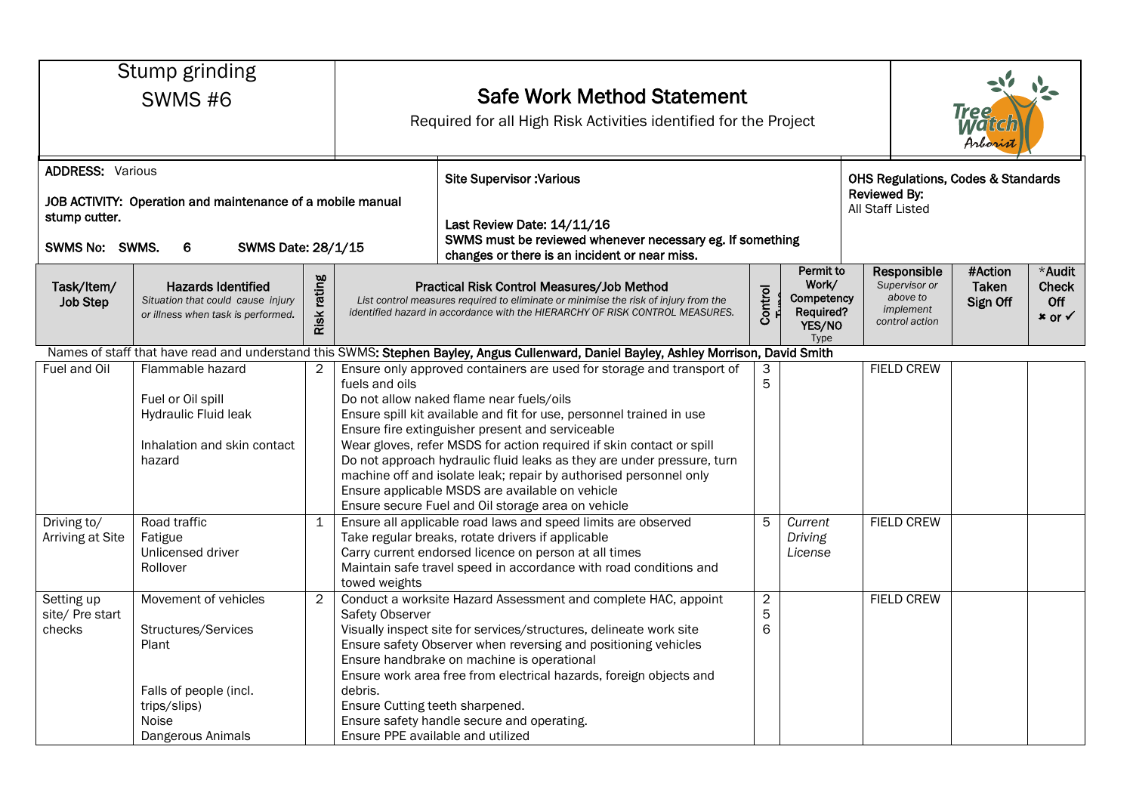|                                                            | Stump grinding<br><b>SWMS #6</b>                                                                                             |                | <b>Safe Work Method Statement</b><br>Required for all High Risk Activities identified for the Project                                                                                                                                                                                                                                                                                                                                                                          |                                                           |                                                                 |  |                                                                         | <b>Tree</b><br><b>Matta</b><br>Arborist                                                  |                                         |  |  |
|------------------------------------------------------------|------------------------------------------------------------------------------------------------------------------------------|----------------|--------------------------------------------------------------------------------------------------------------------------------------------------------------------------------------------------------------------------------------------------------------------------------------------------------------------------------------------------------------------------------------------------------------------------------------------------------------------------------|-----------------------------------------------------------|-----------------------------------------------------------------|--|-------------------------------------------------------------------------|------------------------------------------------------------------------------------------|-----------------------------------------|--|--|
| <b>ADDRESS: Various</b><br>stump cutter.<br>SWMS No: SWMS. | JOB ACTIVITY: Operation and maintenance of a mobile manual<br>SWMS Date: 28/1/15<br>6                                        |                | <b>Site Supervisor: Various</b><br>Last Review Date: 14/11/16<br>changes or there is an incident or near miss.                                                                                                                                                                                                                                                                                                                                                                 | SWMS must be reviewed whenever necessary eg. If something |                                                                 |  |                                                                         | <b>OHS Regulations, Codes &amp; Standards</b><br><b>Reviewed By:</b><br>All Staff Listed |                                         |  |  |
| Task/Item/<br><b>Job Step</b>                              | <b>Hazards Identified</b><br>Situation that could cause injury<br>or illness when task is performed.                         | rating<br>Risk | Practical Risk Control Measures/Job Method<br>List control measures required to eliminate or minimise the risk of injury from the<br>identified hazard in accordance with the HIERARCHY OF RISK CONTROL MEASURES.                                                                                                                                                                                                                                                              | Control                                                   | Permit to<br>Work/<br>Competency<br>Required?<br>YES/NO<br>Type |  | Responsible<br>Supervisor or<br>above to<br>implement<br>control action | #Action<br>Taken<br>Sign Off                                                             | *Audit<br><b>Check</b><br>Off<br>× or √ |  |  |
|                                                            |                                                                                                                              |                | Names of staff that have read and understand this SWMS: Stephen Bayley, Angus Cullenward, Daniel Bayley, Ashley Morrison, David Smith                                                                                                                                                                                                                                                                                                                                          |                                                           |                                                                 |  |                                                                         |                                                                                          |                                         |  |  |
| Fuel and Oil                                               | Flammable hazard                                                                                                             | $\overline{2}$ | Ensure only approved containers are used for storage and transport of                                                                                                                                                                                                                                                                                                                                                                                                          | 3                                                         |                                                                 |  | <b>FIELD CREW</b>                                                       |                                                                                          |                                         |  |  |
|                                                            | Fuel or Oil spill<br>Hydraulic Fluid leak                                                                                    |                | fuels and oils<br>Do not allow naked flame near fuels/oils<br>Ensure spill kit available and fit for use, personnel trained in use<br>Ensure fire extinguisher present and serviceable                                                                                                                                                                                                                                                                                         | 5                                                         |                                                                 |  |                                                                         |                                                                                          |                                         |  |  |
|                                                            | Inhalation and skin contact<br>hazard                                                                                        |                | Wear gloves, refer MSDS for action required if skin contact or spill<br>Do not approach hydraulic fluid leaks as they are under pressure, turn<br>machine off and isolate leak; repair by authorised personnel only<br>Ensure applicable MSDS are available on vehicle<br>Ensure secure Fuel and Oil storage area on vehicle                                                                                                                                                   |                                                           |                                                                 |  |                                                                         |                                                                                          |                                         |  |  |
| Driving to/<br>Arriving at Site                            | Road traffic<br>Fatigue<br>Unlicensed driver<br>Rollover                                                                     | $\mathbf{1}$   | Ensure all applicable road laws and speed limits are observed<br>Take regular breaks, rotate drivers if applicable<br>Carry current endorsed licence on person at all times<br>Maintain safe travel speed in accordance with road conditions and<br>towed weights                                                                                                                                                                                                              | 5                                                         | Current<br>Driving<br>License                                   |  | <b>FIELD CREW</b>                                                       |                                                                                          |                                         |  |  |
| Setting up<br>site/ Pre start<br>checks                    | Movement of vehicles<br>Structures/Services<br>Plant<br>Falls of people (incl.<br>trips/slips)<br>Noise<br>Dangerous Animals | $\overline{2}$ | Conduct a worksite Hazard Assessment and complete HAC, appoint<br>Safety Observer<br>Visually inspect site for services/structures, delineate work site<br>Ensure safety Observer when reversing and positioning vehicles<br>Ensure handbrake on machine is operational<br>Ensure work area free from electrical hazards, foreign objects and<br>debris.<br>Ensure Cutting teeth sharpened.<br>Ensure safety handle secure and operating.<br>Ensure PPE available and utilized | $\overline{2}$<br>5<br>6                                  |                                                                 |  | <b>FIELD CREW</b>                                                       |                                                                                          |                                         |  |  |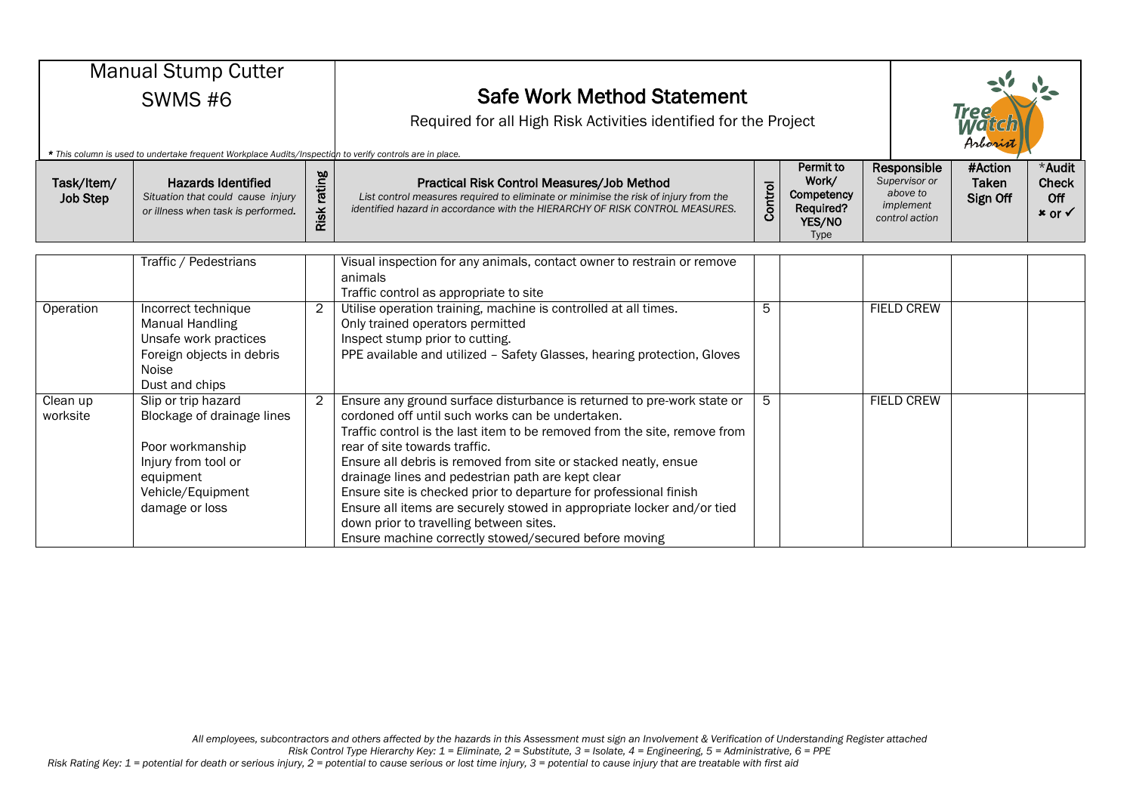| <b>Manual Stump Cutter</b>    |                                                                                                                                                                                                                  |                |                                                                                                                                                                                                                                                                                                                                                                                                                                                                                                                                                                                                                     |         |                                                                 |  |                                                                         |                              |                                                      |
|-------------------------------|------------------------------------------------------------------------------------------------------------------------------------------------------------------------------------------------------------------|----------------|---------------------------------------------------------------------------------------------------------------------------------------------------------------------------------------------------------------------------------------------------------------------------------------------------------------------------------------------------------------------------------------------------------------------------------------------------------------------------------------------------------------------------------------------------------------------------------------------------------------------|---------|-----------------------------------------------------------------|--|-------------------------------------------------------------------------|------------------------------|------------------------------------------------------|
| SWMS#6                        |                                                                                                                                                                                                                  |                | <b>Safe Work Method Statement</b><br>Required for all High Risk Activities identified for the Project                                                                                                                                                                                                                                                                                                                                                                                                                                                                                                               |         |                                                                 |  | <b>Tree</b><br>Arboris                                                  |                              |                                                      |
| Task/Item/<br><b>Job Step</b> | * This column is used to undertake frequent Workplace Audits/Inspection to verify controls are in place.<br><b>Hazards Identified</b><br>Situation that could cause injury<br>or illness when task is performed. | rating<br>Risk | <b>Practical Risk Control Measures/Job Method</b><br>List control measures required to eliminate or minimise the risk of injury from the<br>identified hazard in accordance with the HIERARCHY OF RISK CONTROL MEASURES.                                                                                                                                                                                                                                                                                                                                                                                            | Control | Permit to<br>Work/<br>Competency<br>Required?<br>YES/NO<br>Type |  | Responsible<br>Supervisor or<br>above to<br>implement<br>control action | #Action<br>Taken<br>Sign Off | *Audit<br><b>Check</b><br>Off<br>$x$ or $\checkmark$ |
|                               | Traffic / Pedestrians                                                                                                                                                                                            |                | Visual inspection for any animals, contact owner to restrain or remove<br>animals<br>Traffic control as appropriate to site                                                                                                                                                                                                                                                                                                                                                                                                                                                                                         |         |                                                                 |  |                                                                         |                              |                                                      |
| Operation                     | Incorrect technique<br><b>Manual Handling</b><br>Unsafe work practices<br>Foreign objects in debris<br>Noise<br>Dust and chips                                                                                   | 2              | Utilise operation training, machine is controlled at all times.<br>Only trained operators permitted<br>Inspect stump prior to cutting.<br>PPE available and utilized - Safety Glasses, hearing protection, Gloves                                                                                                                                                                                                                                                                                                                                                                                                   | 5       |                                                                 |  | <b>FIELD CREW</b>                                                       |                              |                                                      |
| Clean up<br>worksite          | Slip or trip hazard<br>Blockage of drainage lines<br>Poor workmanship<br>Injury from tool or<br>equipment<br>Vehicle/Equipment<br>damage or loss                                                                 | $\overline{2}$ | Ensure any ground surface disturbance is returned to pre-work state or<br>cordoned off until such works can be undertaken.<br>Traffic control is the last item to be removed from the site, remove from<br>rear of site towards traffic.<br>Ensure all debris is removed from site or stacked neatly, ensue<br>drainage lines and pedestrian path are kept clear<br>Ensure site is checked prior to departure for professional finish<br>Ensure all items are securely stowed in appropriate locker and/or tied<br>down prior to travelling between sites.<br>Ensure machine correctly stowed/secured before moving | 5       |                                                                 |  | <b>FIELD CREW</b>                                                       |                              |                                                      |

*Risk Control Type Hierarchy Key: 1 = Eliminate, 2 = Substitute, 3 = Isolate, 4 = Engineering, 5 = Administrative, 6 = PPE*

*Risk Rating Key: 1 = potential for death or serious injury, 2 = potential to cause serious or lost time injury, 3 = potential to cause injury that are treatable with first aid*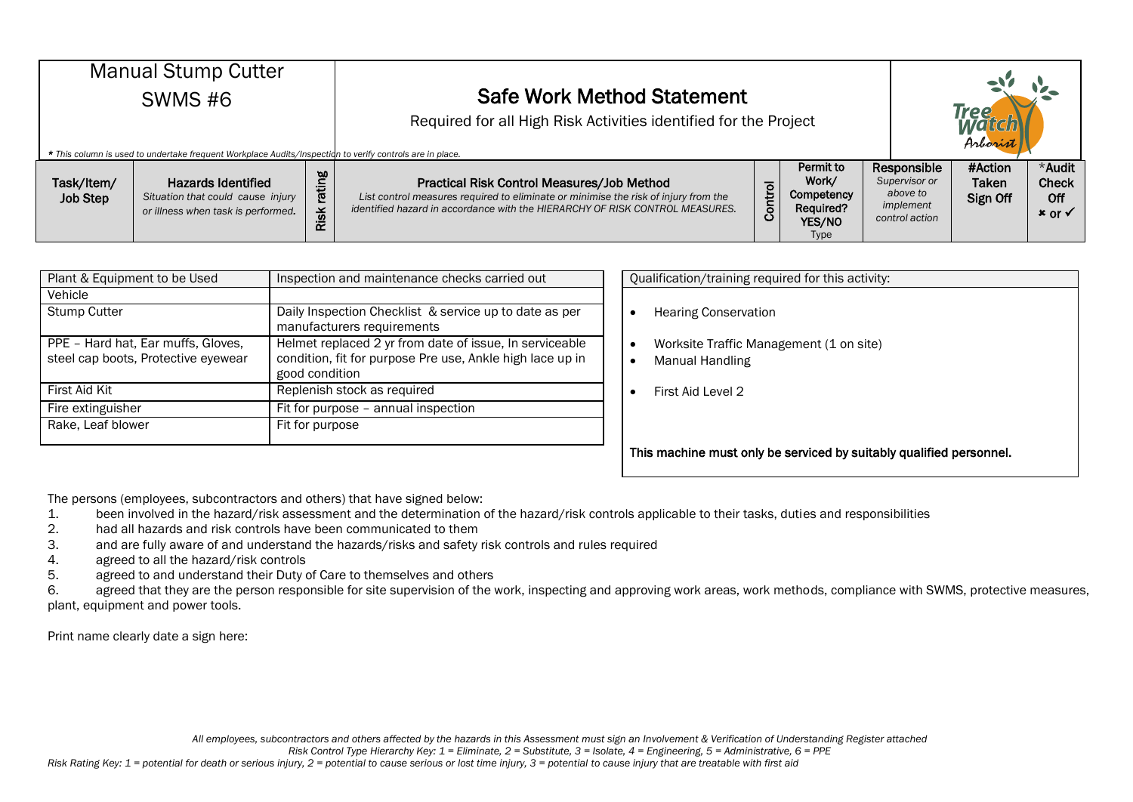| <b>Manual Stump Cutter</b><br><b>SWMS #6</b><br>* This column is used to undertake frequent Workplace Audits/Inspection to verify controls are in place. |                                                                                                      |                       | <b>Safe Work Method Statement</b><br>Required for all High Risk Activities identified for the Project                                                                                                             |         |                                                                               |  |                                                                         | <b>Tree</b><br>Arborist      |                                                      |  |
|----------------------------------------------------------------------------------------------------------------------------------------------------------|------------------------------------------------------------------------------------------------------|-----------------------|-------------------------------------------------------------------------------------------------------------------------------------------------------------------------------------------------------------------|---------|-------------------------------------------------------------------------------|--|-------------------------------------------------------------------------|------------------------------|------------------------------------------------------|--|
| Task/Item/<br><b>Job Step</b>                                                                                                                            | <b>Hazards Identified</b><br>Situation that could cause injury<br>or illness when task is performed. | rating<br><b>Risk</b> | Practical Risk Control Measures/Job Method<br>List control measures required to eliminate or minimise the risk of injury from the<br>identified hazard in accordance with the HIERARCHY OF RISK CONTROL MEASURES. | Control | Permit to<br>Work/<br>Competency<br><b>Required?</b><br>YES/NO<br><b>Type</b> |  | Responsible<br>Supervisor or<br>above to<br>implement<br>control action | #Action<br>Taken<br>Sign Off | *Audit<br><b>Check</b><br>Off<br>$x$ or $\checkmark$ |  |

| Plant & Equipment to be Used                                              | Inspection and maintenance checks carried out                                                                                          | Qualification/training required for this activity:                      |
|---------------------------------------------------------------------------|----------------------------------------------------------------------------------------------------------------------------------------|-------------------------------------------------------------------------|
| Vehicle                                                                   |                                                                                                                                        |                                                                         |
| <b>Stump Cutter</b>                                                       | Daily Inspection Checklist & service up to date as per<br>manufacturers requirements                                                   | <b>Hearing Conservation</b>                                             |
| PPE - Hard hat, Ear muffs, Gloves,<br>steel cap boots, Protective eyewear | Helmet replaced 2 yr from date of issue, In serviceable<br>condition, fit for purpose Pre use, Ankle high lace up in<br>good condition | Worksite Traffic Management (1 on site)<br>$\bullet$<br>Manual Handling |
| First Aid Kit                                                             | Replenish stock as required                                                                                                            | First Aid Level 2                                                       |
| Fire extinguisher                                                         | Fit for purpose - annual inspection                                                                                                    |                                                                         |
| Rake, Leaf blower                                                         | Fit for purpose                                                                                                                        |                                                                         |

| Qualification/training required for this activity:                                                                       |
|--------------------------------------------------------------------------------------------------------------------------|
| <b>Hearing Conservation</b><br>٠<br>Worksite Traffic Management (1 on site)<br>$\bullet$<br>Manual Handling<br>$\bullet$ |
| First Aid Level 2                                                                                                        |
| This machine must only be serviced by suitably qualified personnel.                                                      |

The persons (employees, subcontractors and others) that have signed below:

1. been involved in the hazard/risk assessment and the determination of the hazard/risk controls applicable to their tasks, duties and responsibilities<br>2. had all hazards and risk controls have been communicated to them

- had all hazards and risk controls have been communicated to them
- 3. and are fully aware of and understand the hazards/risks and safety risk controls and rules required
- 4. agreed to all the hazard/risk controls
- 5. agreed to and understand their Duty of Care to themselves and others

6. agreed that they are the person responsible for site supervision of the work, inspecting and approving work areas, work methods, compliance with SWMS, protective measures, plant, equipment and power tools.

Print name clearly date a sign here:

*All employees, subcontractors and others affected by the hazards in this Assessment must sign an Involvement & Verification of Understanding Register attached*

*Risk Control Type Hierarchy Key: 1 = Eliminate, 2 = Substitute, 3 = Isolate, 4 = Engineering, 5 = Administrative, 6 = PPE*

*Risk Rating Key: 1 = potential for death or serious injury, 2 = potential to cause serious or lost time injury, 3 = potential to cause injury that are treatable with first aid*